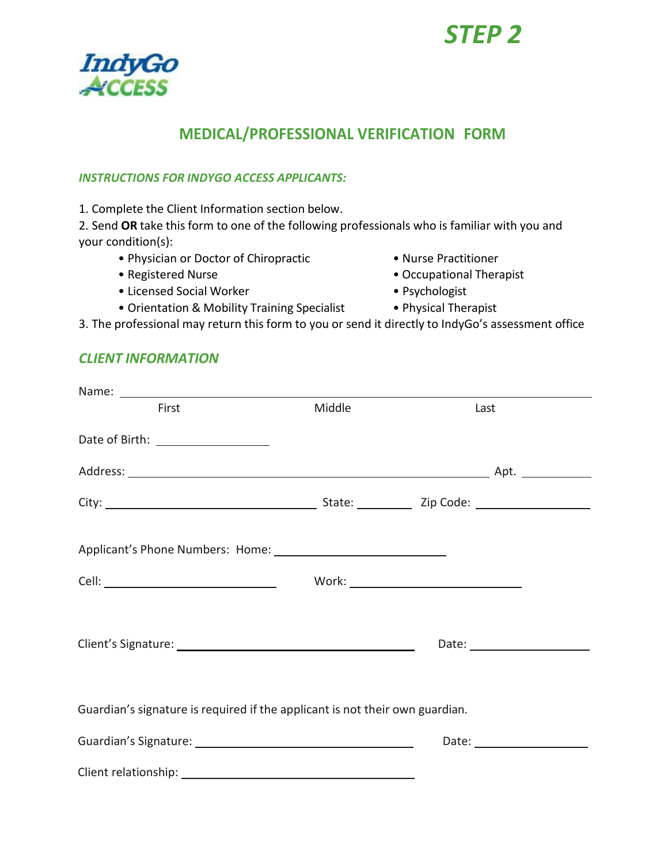# *STEP 2*



### **MEDICAL/PROFESSIONAL VERIFICATION FORM**

#### *INSTRUCTIONS FOR INDYGO ACCESS APPLICANTS:*

1. Complete the Client Information section below.

2. Send **OR** take this form to one of the following professionals who is familiar with you and your condition(s):

- Physician or Doctor of Chiropractic Nurse Practitioner
- 
- Licensed Social Worker Psychologist
- Orientation & Mobility Training Specialist Physical Therapist
- 
- Registered Nurse Occupational Therapist
	-
	-

3. The professional may return this form to you or send it directly to IndyGo's assessment office

#### *CLIENT INFORMATION*

| First                                                                        | Middle | Last                                |  |
|------------------------------------------------------------------------------|--------|-------------------------------------|--|
| Date of Birth: ____________________                                          |        |                                     |  |
|                                                                              |        |                                     |  |
|                                                                              |        |                                     |  |
|                                                                              |        |                                     |  |
|                                                                              |        |                                     |  |
|                                                                              |        | Date: <u>______________________</u> |  |
| Guardian's signature is required if the applicant is not their own guardian. |        |                                     |  |
|                                                                              |        |                                     |  |
|                                                                              |        |                                     |  |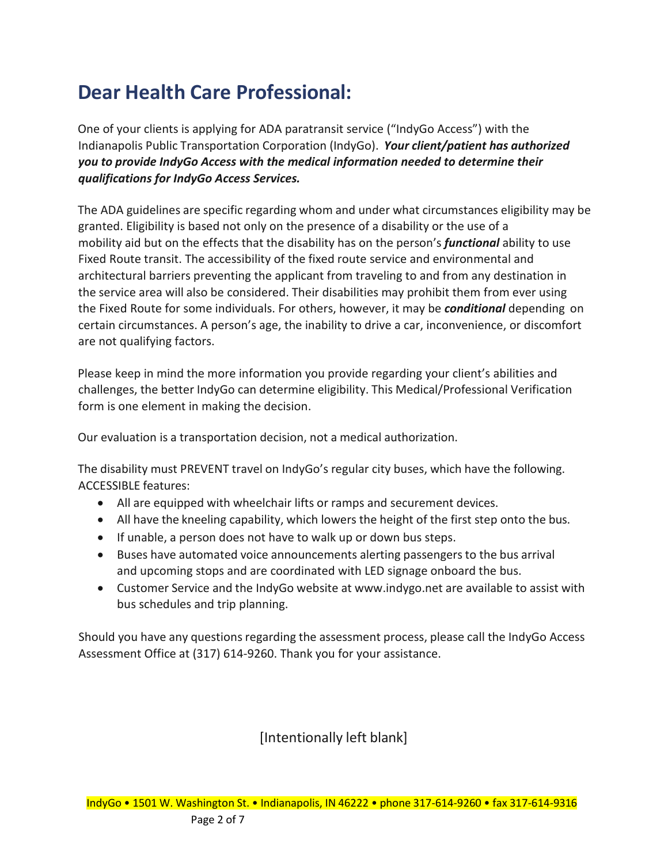# **Dear Health Care Professional:**

One of your clients is applying for ADA paratransit service ("IndyGo Access") with the Indianapolis Public Transportation Corporation (IndyGo). *Your client/patient has authorized you to provide IndyGo Access with the medical information needed to determine their qualifications for IndyGo Access Services.*

The ADA guidelines are specific regarding whom and under what circumstances eligibility may be granted. Eligibility is based not only on the presence of a disability or the use of a mobility aid but on the effects that the disability has on the person's *functional* ability to use Fixed Route transit. The accessibility of the fixed route service and environmental and architectural barriers preventing the applicant from traveling to and from any destination in the service area will also be considered. Their disabilities may prohibit them from ever using the Fixed Route for some individuals. For others, however, it may be *conditional* depending on certain circumstances. A person's age, the inability to drive a car, inconvenience, or discomfort are not qualifying factors.

Please keep in mind the more information you provide regarding your client's abilities and challenges, the better IndyGo can determine eligibility. This Medical/Professional Verification form is one element in making the decision.

Our evaluation is a transportation decision, not a medical authorization.

The disability must PREVENT travel on IndyGo's regular city buses, which have the following. ACCESSIBLE features:

- All are equipped with wheelchair lifts or ramps and securement devices.
- All have the kneeling capability, which lowers the height of the first step onto the bus.
- If unable, a person does not have to walk up or down bus steps.
- Buses have automated voice announcements alerting passengers to the bus arrival and upcoming stops and are coordinated with LED signage onboard the bus.
- Customer Service and the IndyGo website at [www.indygo.net](http://www.indygo.net/) are available to assist with bus schedules and trip planning.

Should you have any questions regarding the assessment process, please call the IndyGo Access Assessment Office at (317) 614-9260. Thank you for your assistance.

#### [Intentionally left blank]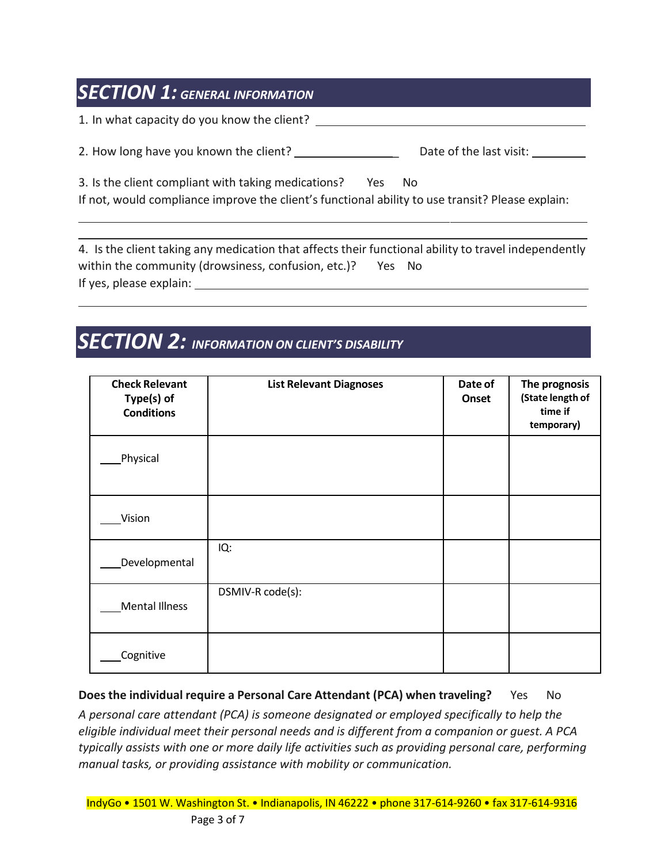### *SECTION 1: GENERAL INFORMATION*

1. In what capacity do you know the client?

2. How long have you known the client? \_\_\_\_\_\_\_\_\_\_\_\_\_\_\_\_\_\_\_\_\_\_\_\_\_\_Date of the last visit:

3. Is the client compliant with taking medications? Yes No

If not, would compliance improve the client's functional ability to use transit? Please explain:

4. Is the client taking any medication that affects their functional ability to travel independently within the community (drowsiness, confusion, etc.)? Yes No If yes, please explain:

## *SECTION 2: INFORMATION ON CLIENT'S DISABILITY*

| <b>Check Relevant</b><br>Type(s) of<br><b>Conditions</b> | <b>List Relevant Diagnoses</b> | Date of<br>Onset | The prognosis<br>(State length of<br>time if<br>temporary) |
|----------------------------------------------------------|--------------------------------|------------------|------------------------------------------------------------|
| Physical                                                 |                                |                  |                                                            |
| Vision                                                   |                                |                  |                                                            |
| Developmental                                            | IQ:                            |                  |                                                            |
| Mental Illness                                           | DSMIV-R code(s):               |                  |                                                            |
| Cognitive                                                |                                |                  |                                                            |

**Does the individual require a Personal Care Attendant (PCA) when traveling?** Yes No *A personal care attendant (PCA) is someone designated or employed specifically to help the eligible individual meet their personal needs and is different from a companion or guest. A PCA typically assists with one or more daily life activities such as providing personal care, performing manual tasks, or providing assistance with mobility or communication.*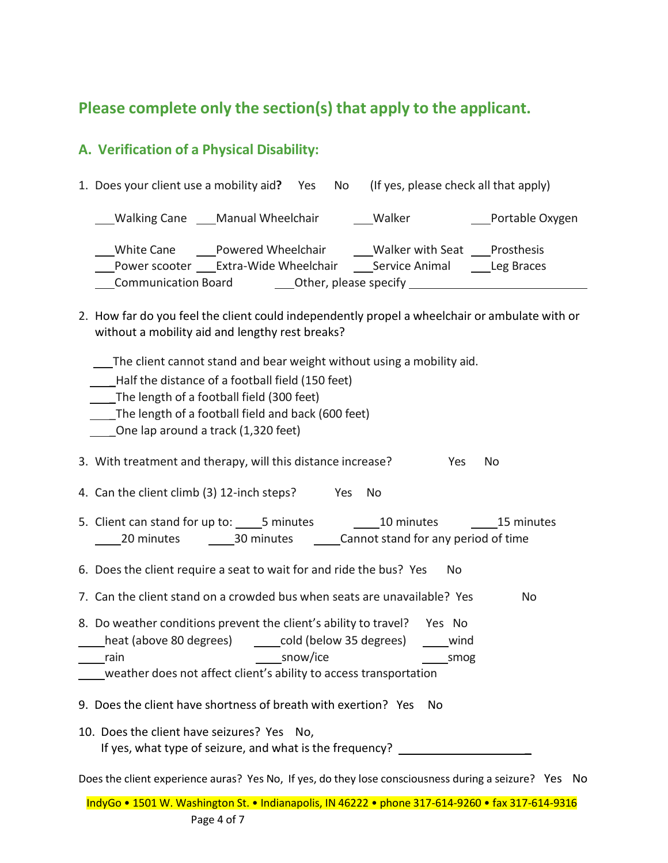### **Please complete only the section(s) that apply to the applicant.**

#### **A. Verification of a Physical Disability:**

| 1. Does your client use a mobility aid?<br>Yes No                                                                                 | (If yes, please check all that apply)                          |
|-----------------------------------------------------------------------------------------------------------------------------------|----------------------------------------------------------------|
| Walking Cane Manual Wheelchair                                                                                                    | ___Portable Oxygen<br>Walker                                   |
| Powered Wheelchair<br>White Cane<br>Extra-Wide Wheelchair<br>Power scooter<br>Other, please specify<br><b>Communication Board</b> | Walker with Seat<br>Prosthesis<br>Service Animal<br>Leg Braces |

2. How far do you feel the client could independently propel a wheelchair or ambulate with or without a mobility aid and lengthy rest breaks?

The client cannot stand and bear weight without using a mobility aid.

- \_Half the distance of a football field (150 feet)
- The length of a football field (300 feet)
- \_The length of a football field and back (600 feet)
- \_One lap around a track (1,320 feet)

3. With treatment and therapy, will this distance increase? Yes No

- 4. Can the client climb (3) 12-inch steps? Yes No
- 5. Client can stand for up to: 5 minutes 10 minutes 15 minutes 20 minutes 20 minutes Cannot stand for any period of time

6. Does the client require a seat to wait for and ride the bus? Yes No

- 7. Can the client stand on a crowded bus when seats are unavailable? Yes No
- 8. Do weather conditions prevent the client's ability to travel? Yes No heat (above 80 degrees) cold (below 35 degrees) communications rain snow/ice smog snow/ice
- weather does not affect client's ability to access transportation
- 9. Does the client have shortness of breath with exertion? Yes No
- 10. Does the client have seizures? Yes No, If yes, what type of seizure, and what is the frequency? \_

Does the client experience auras? Yes No, If yes, do they lose consciousness during a seizure? Yes No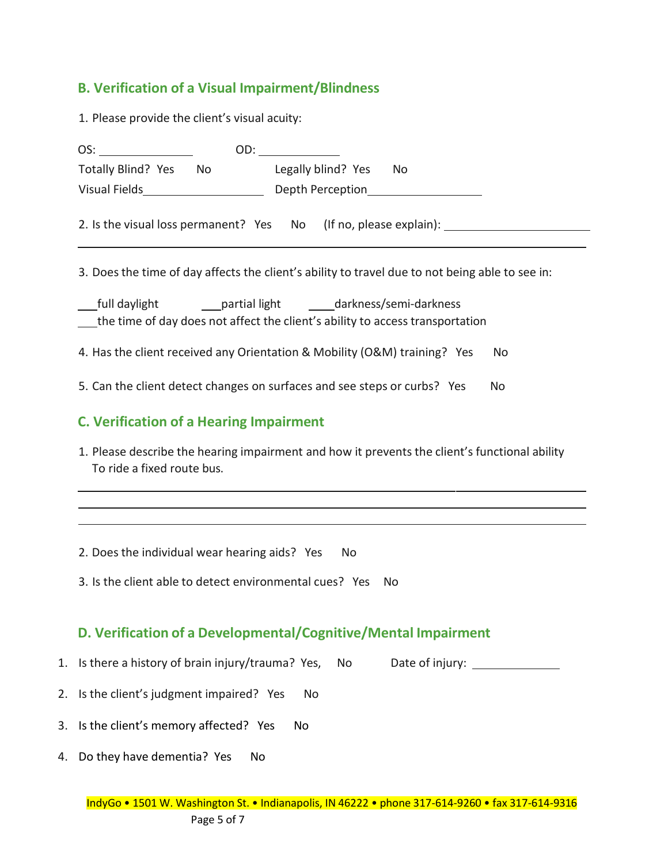### **B. Verification of a Visual Impairment/Blindness**

1. Please provide the client's visual acuity:

| Totally Blind? Yes No Legally blind? Yes No                                                                                                             |
|---------------------------------------------------------------------------------------------------------------------------------------------------------|
|                                                                                                                                                         |
| 2. Is the visual loss permanent? Yes No (If no, please explain):                                                                                        |
| 3. Does the time of day affects the client's ability to travel due to not being able to see in:                                                         |
| __full daylight __________partial light ________darkness/semi-darkness<br>the time of day does not affect the client's ability to access transportation |
| 4. Has the client received any Orientation & Mobility (O&M) training? Yes<br>No.                                                                        |
| 5. Can the client detect changes on surfaces and see steps or curbs? Yes<br>No                                                                          |
| <b>C. Verification of a Hearing Impairment</b>                                                                                                          |
| 1. Please describe the hearing impairment and how it prevents the client's functional ability<br>To ride a fixed route bus.                             |
|                                                                                                                                                         |
| 2. Does the individual wear hearing aids? Yes<br>No                                                                                                     |
| 3. Is the client able to detect environmental cues? Yes<br>No.                                                                                          |
| D. Verification of a Developmental/Cognitive/Mental Impairment                                                                                          |
| Is there a history of brain injury/trauma? Yes,<br>No                                                                                                   |
| Is the client's judgment impaired? Yes<br>No                                                                                                            |
| Is the client's memory affected? Yes<br>No                                                                                                              |
| 4. Do they have dementia? Yes<br>No                                                                                                                     |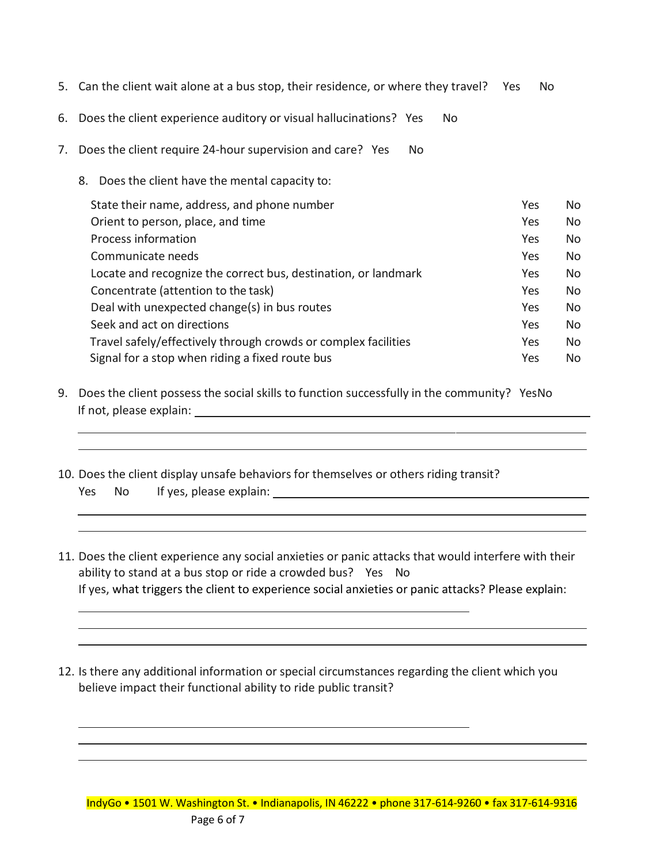- 5. Can the client wait alone at a bus stop, their residence, or where they travel? Yes No
- 6. Does the client experience auditory or visual hallucinations? Yes No
- 7. Does the client require 24-hour supervision and care? Yes No
	- 8. Does the client have the mental capacity to:

| State their name, address, and phone number                    | Yes | No  |
|----------------------------------------------------------------|-----|-----|
| Orient to person, place, and time                              | Yes | No. |
| Process information                                            | Yes | No. |
| Communicate needs                                              | Yes | No. |
| Locate and recognize the correct bus, destination, or landmark | Yes | No. |
| Concentrate (attention to the task)                            | Yes | No. |
| Deal with unexpected change(s) in bus routes                   | Yes | No. |
| Seek and act on directions                                     | Yes | No. |
| Travel safely/effectively through crowds or complex facilities | Yes | No. |
| Signal for a stop when riding a fixed route bus                | Yes | No. |

- 9. Does the client possess the social skills to function successfully in the community? YesNo If not, please explain:
- 10. Does the client display unsafe behaviors for themselves or others riding transit? Yes No If yes, please explain:
- 11. Does the client experience any social anxieties or panic attacks that would interfere with their ability to stand at a bus stop or ride a crowded bus? Yes No If yes, what triggers the client to experience social anxieties or panic attacks? Please explain:
- 12. Is there any additional information or special circumstances regarding the client which you believe impact their functional ability to ride public transit?